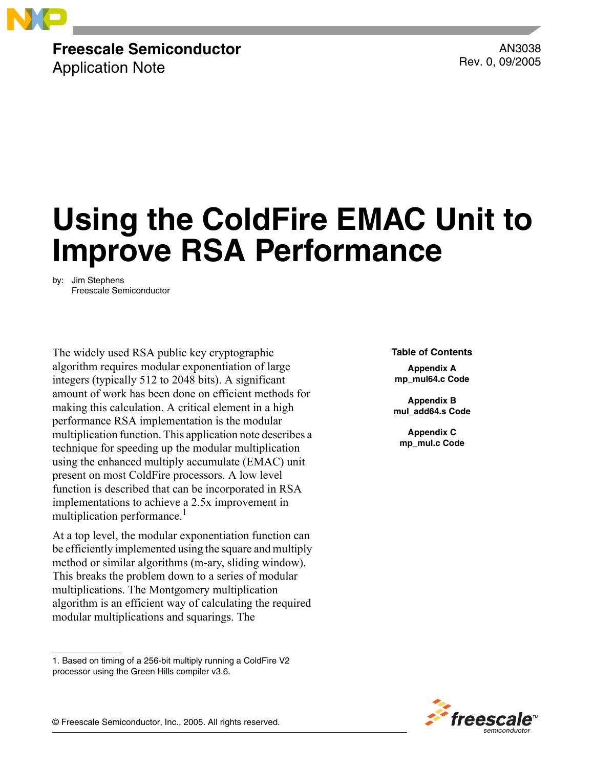

## **Freescale Semiconductor**

Application Note

AN3038 Rev. 0, 09/2005

# **Using the ColdFire EMAC Unit to Improve RSA Performance**

by: Jim Stephens Freescale Semiconductor

The widely used RSA public key cryptographic **Table of Contents** algorithm requires modular exponentiation of large integers (typically 512 to 2048 bits). A significant amount of work has been done on efficient methods for making this calculation. A critical element in a high performance RSA implementation is the modular multiplication function. This application note describes a technique for speeding up the modular multiplication using the enhanced multiply accumulate (EMAC) unit present on most ColdFire processors. A low level function is described that can be incorporated in RSA implementations to achieve a 2.5x improvement in multiplication performance.<sup>1</sup>

At a top level, the modular exponentiation function can be efficiently implemented using the square and multiply method or similar algorithms (m-ary, sliding window). This breaks the problem down to a series of modular multiplications. The Montgomery multiplication algorithm is an efficient way of calculating the required modular multiplications and squarings. The

**Appendix A [mp\\_mul64.c Code](#page-4-0)**

**Appendix B [mul\\_add64.s Code](#page-5-0)**

**[Appendix C](#page-8-0) [mp\\_mul.c Code](#page-8-0)**



<sup>1.</sup> Based on timing of a 256-bit multiply running a ColdFire V2 processor using the Green Hills compiler v3.6.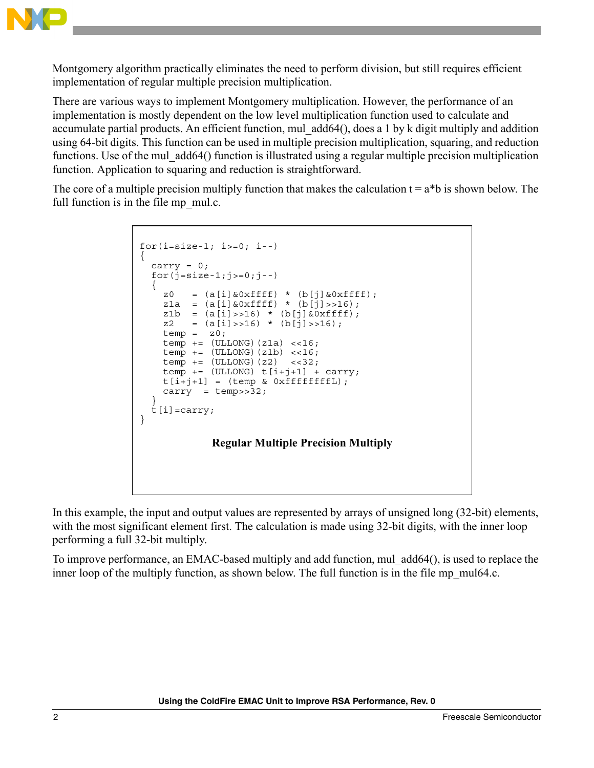

Montgomery algorithm practically eliminates the need to perform division, but still requires efficient implementation of regular multiple precision multiplication.

There are various ways to implement Montgomery multiplication. However, the performance of an implementation is mostly dependent on the low level multiplication function used to calculate and accumulate partial products. An efficient function, mul\_add64(), does a 1 by k digit multiply and addition using 64-bit digits. This function can be used in multiple precision multiplication, squaring, and reduction functions. Use of the mul\_add64() function is illustrated using a regular multiple precision multiplication function. Application to squaring and reduction is straightforward.

The core of a multiple precision multiply function that makes the calculation  $t = a * b$  is shown below. The full function is in the file mp\_mul.c.

```
for(i=size-1; i>=0; i--)
{ 
  carry = 0;for(j=size-1; j>=0; j--) { 
    z0 = (a[i] \& 0 \times f[f(f]) * (b[i] \& 0 \times f[f(f)];
    z1a = (a[i] \& 0 \times f \cup f(f) * (b[j] >> 16);
    z1b = (a[i] >> 16) * (b[i] & c(xffff);z2 = (a[i]>>16) * (b[j]>>16);
    temp = z0;temp += (ULLONG) (z1a) <<16;
    temp += (ULLONG)(z1b) <<16;<br>temp += (ULLONG)(z2) <<32;temp += (ULLONG) (z2)temp += (ULLONG) t[i+j+1] + carry;t[i+j+1] = (temp & 0xfffffffff]);
    carry = temp>>32; } 
  t[i]=carry;
} 
              Regular Multiple Precision Multiply
```
In this example, the input and output values are represented by arrays of unsigned long (32-bit) elements, with the most significant element first. The calculation is made using 32-bit digits, with the inner loop performing a full 32-bit multiply.

To improve performance, an EMAC-based multiply and add function, mul\_add64(), is used to replace the inner loop of the multiply function, as shown below. The full function is in the file mp\_mul64.c.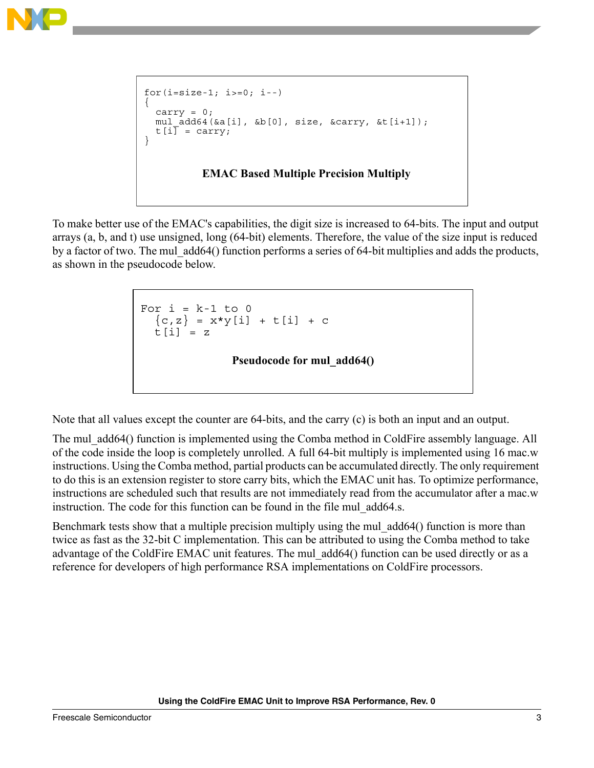

```
for(i=size-1; i>=0; i--)
{ 
  carry = 0;mul add64(\&a[i], \&b[0], size, \&carry, \&t[i+1]);t[i] = carry;
} 
           EMAC Based Multiple Precision Multiply
```
To make better use of the EMAC's capabilities, the digit size is increased to 64-bits. The input and output arrays (a, b, and t) use unsigned, long (64-bit) elements. Therefore, the value of the size input is reduced by a factor of two. The mul\_add64() function performs a series of 64-bit multiplies and adds the products, as shown in the pseudocode below.

```
For i = k-1 to 0
  {c, z} = x*y[i] + t[i] + ct[i] = zPseudocode for mul_add64()
```
Note that all values except the counter are 64-bits, and the carry (c) is both an input and an output.

The mul add64() function is implemented using the Comba method in ColdFire assembly language. All of the code inside the loop is completely unrolled. A full 64-bit multiply is implemented using 16 mac.w instructions. Using the Comba method, partial products can be accumulated directly. The only requirement to do this is an extension register to store carry bits, which the EMAC unit has. To optimize performance, instructions are scheduled such that results are not immediately read from the accumulator after a mac.w instruction. The code for this function can be found in the file mul add64.s.

Benchmark tests show that a multiple precision multiply using the mul\_add64() function is more than twice as fast as the 32-bit C implementation. This can be attributed to using the Comba method to take advantage of the ColdFire EMAC unit features. The mul\_add64() function can be used directly or as a reference for developers of high performance RSA implementations on ColdFire processors.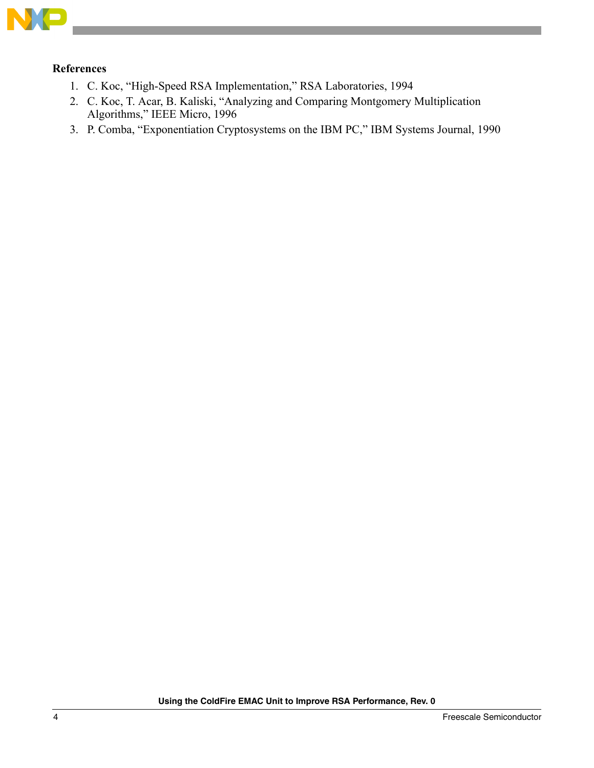

#### **References**

- 1. C. Koc, "High-Speed RSA Implementation," RSA Laboratories, 1994
- 2. C. Koc, T. Acar, B. Kaliski, "Analyzing and Comparing Montgomery Multiplication Algorithms," IEEE Micro, 1996
- 3. P. Comba, "Exponentiation Cryptosystems on the IBM PC," IBM Systems Journal, 1990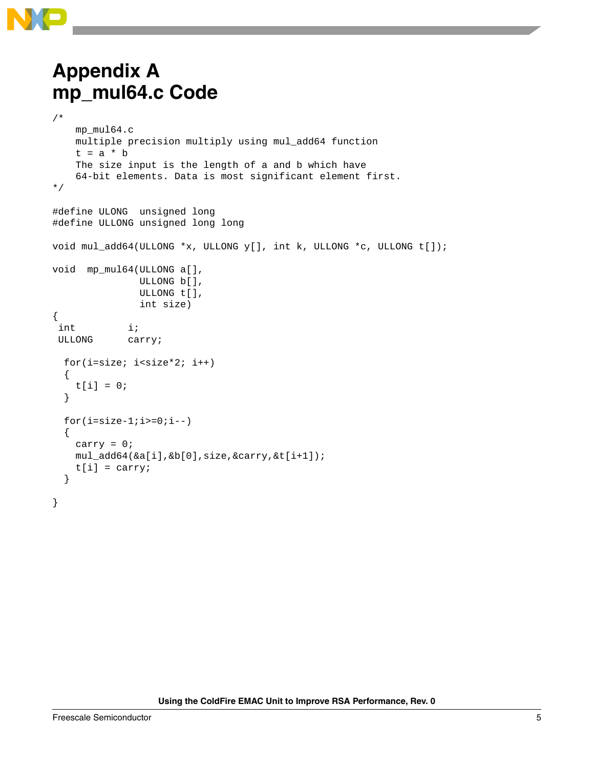

### <span id="page-4-0"></span>**Appendix A mp\_mul64.c Code**

```
/*
     mp_mul64.c
    multiple precision multiply using mul_add64 function
    t = a * b The size input is the length of a and b which have
     64-bit elements. Data is most significant element first. 
*/
#define ULONG unsigned long
#define ULLONG unsigned long long
void mul_add64(ULLONG *x, ULLONG y[], int k, ULLONG *c, ULLONG t[]);
void mp_mul64(ULLONG a[],
                ULLONG b[],
                ULLONG t[], 
                int size)
{
  int i;
ULLONG carry;
  for(i = size; i < size*2; i++) {
    t[i] = 0; }
 for(i=size-1; i>=0; i--) {
    carry = 0;
    mul_add64(&a[i],&b[0],size,&carry,&t[i+1]);
    t[i] = carry;
   } 
}
```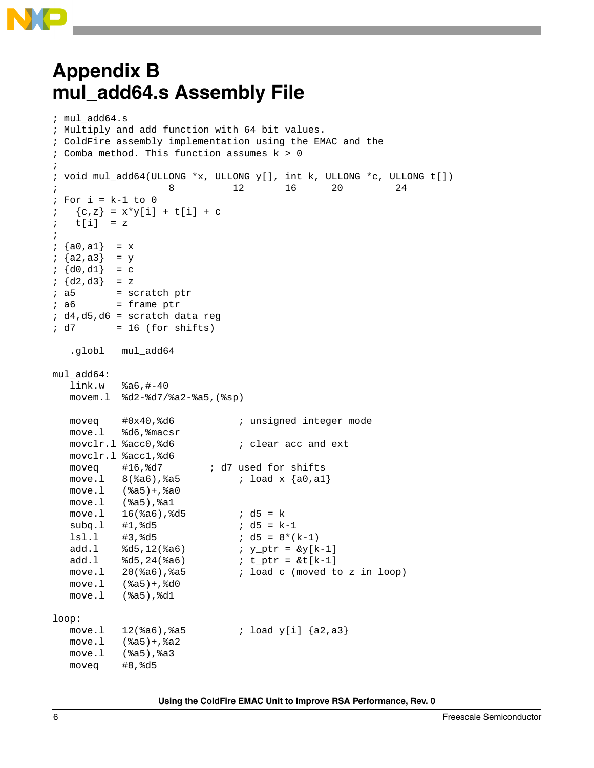

### <span id="page-5-0"></span>**Appendix B mul\_add64.s Assembly File**

```
; mul_add64.s
; Multiply and add function with 64 bit values. 
; ColdFire assembly implementation using the EMAC and the
; Comba method. This function assumes k > 0
;
; void mul_add64(ULLONG *x, ULLONG y[], int k, ULLONG *c, ULLONG t[])
; 8 12 16 20 24
; For i = k-1 to 0
; {c, z} = x*y[i] + t[i] + c; t[i] = z;
; {a0, a1} = x; {a2, a3} = y; \{d0, d1\} = c; \{d2, d3\} = z; a5 = scratch ptr
; a6 = frame ptr; d4,d5,d6 = scratch data reg
; d7 = 16 (for shifts)
   .globl mul_add64
mul_add64:
   link.w %a6,#-40
   movem.l %d2-%d7/%a2-%a5,(%sp)
  moveq #0x40,%d6 ; unsigned integer mode
   move.l %d6,%macsr
  movclr.1 %acc0,%d6 \qquad \qquad ; clear acc and ext
   movclr.l %acc1,%d6 
  moveq #16,%d7 ; d7 used for shifts
  move.1 8(%a6),%a5 ; load x {a0,a1}
   move.l (%a5)+,%a0
   move.l (%a5),%a1
  move.1 16(%a6),%d5 ; d5 = k
   subq.l #1,%d5 ; d5 = k-1
  lsl.l #3, *d5 ; d5 = 8*(k-1)add.l \&d5,12(\&d6) ; y_{ptr} = \&y[k-1]add.1 \daggerd5,24(\daggera6) ; t_ptr = \text{kt}[k-1]move.1 20(%a6),%a5 ; load c (moved to z in loop)
   move.l (%a5)+,%d0
   move.l (%a5),%d1
loop:
  move.1 12(%a6),%a5 ; load y[i] \{a2, a3\}move.1 (% )+, % a2 move.l (%a5),%a3
   moveq #8,%d5
```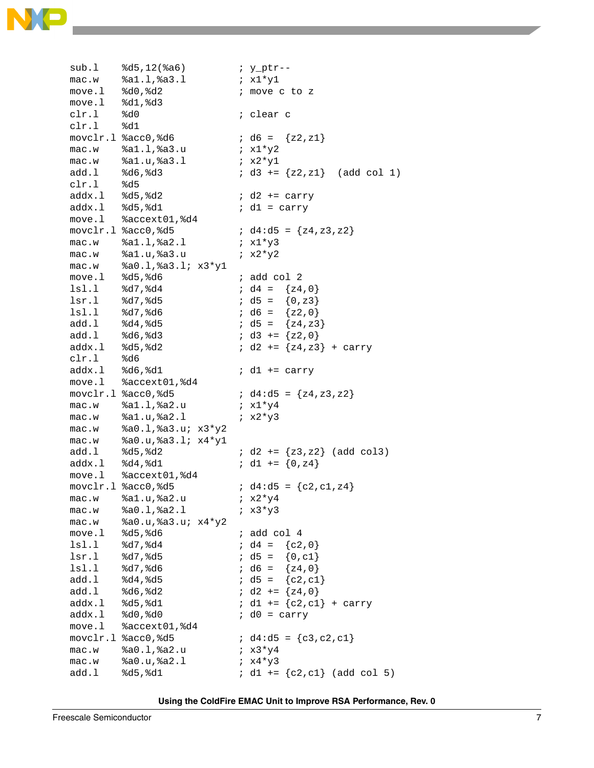

```
sub.1 %d5,12(%a6) ; y_ptr--
 mac.w %a1.l,%a3.l ; x1*y1
move.1 %d0,%d2 ; move c to z
 move.l %d1,%d3
clr.1 %d0 ; clear c
 clr.l %d1
 movclr.l %acc0,%d6 ; d6 = {z2,z1}
mac.w %a1.1,%a3.u ; x1*y2
 mac.w %a1.u,%a3.l ; x2*y1
add.1 \frac{1}{66}, \frac{1}{63} \frac{1}{10} \frac{1}{10} \frac{1}{10} \frac{1}{10} \frac{1}{10} \frac{1}{10} \frac{1}{10} \frac{1}{10} \frac{1}{10} \frac{1}{10} \frac{1}{10} \frac{1}{10} \frac{1}{10} \frac{1}{10} \frac{1}{10} \frac{1}{10} \frac{1}{10} \frac{1 clr.l %d5 
 addx.l %d5,%d2 ; d2 += carry
 addx.l %d5,%d1 ; d1 = carry
 move.l %accext01,%d4 
movclr.l % \frac{1}{2} % \frac{1}{2} % \frac{1}{2} % \frac{1}{2} % \frac{1}{2} d4: d5 = {z4, z3, z2} mac.w %a1.l,%a2.l ; x1*y3 
mac.w %a1.u,%a3.u ; x2*y2
 mac.w %a0.l,%a3.l; x3*y1 
move.1 %d5,%d6 ; add col 2
lsl.l %d7,%d4 ; d4 = {z4,0}
lsr.l %d7,%d5 ; d5 = {0, z3}lsl.l sd7, sd6 ; d6 = {z2,0}add.l \&d4, \&d5 ; d5 = {z4,z3}
add.l \{6, 8d3 ; d3 += \{z2, 0\}addx.1 d5, d2 ; d2 += {z4, z3} + carry
 clr.l %d6
addx.1 %d6,%d1 ; d1 += carry
 move.l %accext01,%d4 
movclr.l @acc0, %d5 ; d4: d5 = \{z4, z3, z2\}mac.w %a1.1,%a2.u ; x1*y4
 mac.w %a1.u,%a2.l ; x2*y3 
 mac.w %a0.l,%a3.u; x3*y2 
 mac.w %a0.u,%a3.l; x4*y1 
add.1 d3, d2 = \{z3, z2\} (add col3)
addx.1 d4, d1 ; d1 += {0, z4} move.l %accext01,%d4 
movclr.l % \frac{1}{2} % \frac{1}{2} % \frac{1}{2} % \frac{1}{2} % \frac{1}{2} % \frac{1}{2} % \frac{1}{2} % \frac{1}{2} % \frac{1}{2} % \frac{1}{2} % \frac{1}{2} % \frac{1}{2} % \frac{1}{2} % \frac{1}{2} % \frac{1}{2} % \frac{1}{2} % \frac{1}{2} % \frac{1}{2} % \frac{1}{2} % \mac.w %a1.u,%a2.u ; x2*y4
 mac.w %a0.l,%a2.l ; x3*y3 
 mac.w %a0.u,%a3.u; x4*y2 
move.1 %d5,%d6 ; add col 4
lsl.l sd7, sd4 ; d4 = \{c2,0\}lsr.l %d7,%d5 ; d5 = {0, c1}lsl.l sd7, sd6 ; d6 = {z4,0}add.l \{c2, c1\}add.l \&d6, \&d2 \quad \qquad ; \ d2 \leftarrow \{z4,0\}addx.1 d5, d1 ; d1 += {c2, c1} + carry
addx.1 %d0,%d0 <br> ; d0 = carry
 move.l %accext01,%d4 
movclr.l @acc0, %d5 ; d4: d5 = {c3, c2, c1}mac.w %a0.1,%a2.u ; x3*y4
 mac.w %a0.u,%a2.l ; x4*y3 
add.1 d_5, d_1 ; d1 += {c_2, c_1} (add col 5)
```
**Using the ColdFire EMAC Unit to Improve RSA Performance, Rev. 0**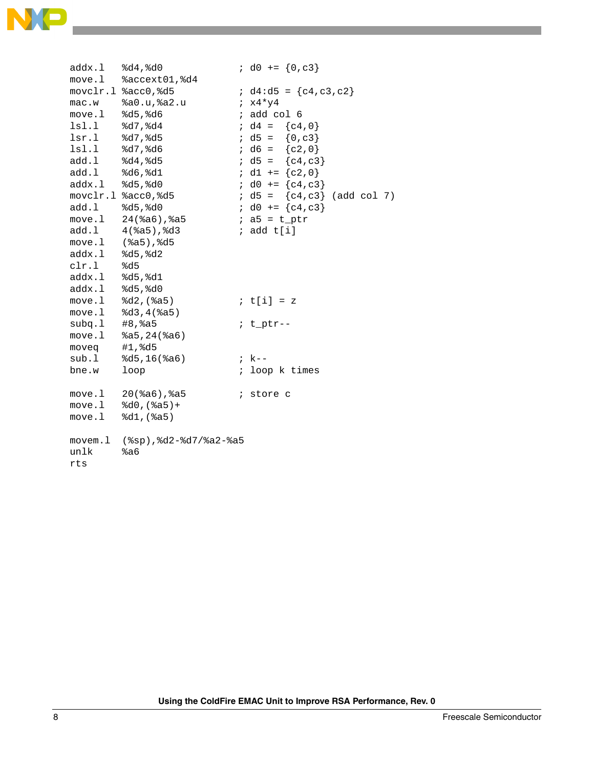

| $addx.1$ $\dagger$ d4, $\dagger$ d0 |                                            | ; d0 += $\{0, c3\}$           |
|-------------------------------------|--------------------------------------------|-------------------------------|
|                                     | move.1 %accext01,%d4<br>movclr.1 %acc0,%d5 |                               |
|                                     |                                            | ; $d4: d5 = {c4, c3, c2}$     |
|                                     | $mac.w$ $%a0.u$ , $a2.u$                   | $ix 4* y4$                    |
| move.1 %d5,%d6                      |                                            | $:$ add col 6                 |
| lsl.1 %d7,%d4                       |                                            | $; d4 = \{c4, 0\}$            |
| lsr.1 %d7,%d5                       |                                            | $id5 = \{0, c3\}$             |
| lsl.l                               | %d7,%d6                                    | $; d6 = \{c2, 0\}$            |
| add.l                               | %d4,%d5                                    | ; $d5 = \{c4, c3\}$           |
| add.l                               | 646,61                                     | ; d1 += $\{c2, 0\}$           |
| addx.1 %d5,%d0                      |                                            | ; d0 += $\{c4, c3\}$          |
|                                     | movclr.1 %acc0,%d5                         | $; d5 = {c4, c3} (add col 7)$ |
| add.1 %d5,%d0                       |                                            | ; d0 += $\{c4, c3\}$          |
|                                     | move.1 24(%a6),%a5                         | $i$ a5 = t_ptr                |
|                                     | add.1 4(%a5),%d3                           | ; add t[i]                    |
|                                     | move.1 (%a5), %d5                          |                               |
| addx.1 %d5,%d2                      |                                            |                               |
| $\texttt{clr.l}$                    | %d5                                        |                               |
| addx.l                              | %d5,%d1                                    |                               |
| addx.1 %d5,%d0                      |                                            |                               |
|                                     | $move.1$ $d2, (a5)$                        | ; $t[i] = z$                  |
| move.1                              | 8d3, 4(8a5)                                |                               |
| $subq.1$ #8, $subq.5$               |                                            | $; t ptr--$                   |
|                                     | move.1 %a5,24(%a6)                         |                               |
| moveq                               | #1,%d5                                     |                               |
| sub.l                               | 8d5, 16(8a6)                               | $k -$                         |
| bne.w                               | loop                                       | ; loop k times                |
|                                     |                                            |                               |
| move.l                              | $20(8a6)$ , $8a5$                          | ; store c                     |
| move.l                              | $8d0,$ ( $8a5$ ) +                         |                               |
| move.l                              | $8d1,$ ( $8a5$ )                           |                               |
|                                     |                                            |                               |
| movem.l                             | (%sp),%d2-%d7/%a2-%a5                      |                               |
| unlk                                | 8a6                                        |                               |
| rts                                 |                                            |                               |
|                                     |                                            |                               |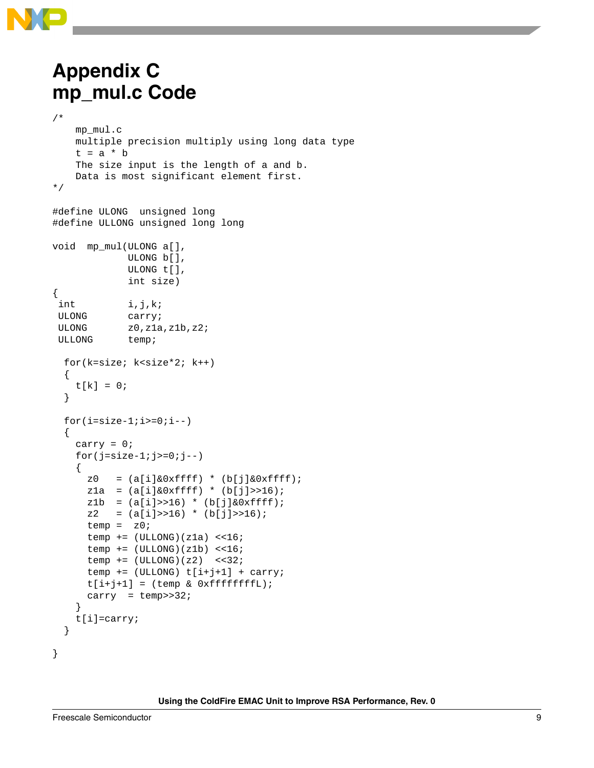

### <span id="page-8-0"></span>**Appendix C mp\_mul.c Code**

```
/*
    mp_mul.c
    multiple precision multiply using long data type
    t = a * b The size input is the length of a and b.
    Data is most significant element first. 
*/
#define ULONG unsigned long
#define ULLONG unsigned long long
void mp_mul(ULONG a[],
             ULONG b[],
              ULONG t[], 
              int size)
{
  int i,j,k;
ULONG carry;
 ULONG z0, z1a, z1b, z2iULLONG temp;
   for(k=size; k<size*2; k++)
   {
    t[k] = 0; }
  for(i=size-1;i>=0;i--)
   {
    carry = 0;for(j=size-1; j>=0; j--)
     {
     z0 = (a[i]&0xffff) * (b[j]&0xffff);z1a = (a[i]&0xffff) * (b[j]>16);z1b = (a[i]>>16) * (b[j]&0xffff);z2 = (a[i]>>16) * (b[j]>>16);temp = z0;temp += (ULLONG)(z1a) <<16;
     temp += (ULLONG)(z1b) <<16;
     temp += (ULLONG)(z2) <<32;
     temp += (ULLONG) t[i+j+1] + carry;t[i+j+1] = (temp & 0xfffffffff);
     carry = temp>>32;
     }
     t[i]=carry;
   } 
}
```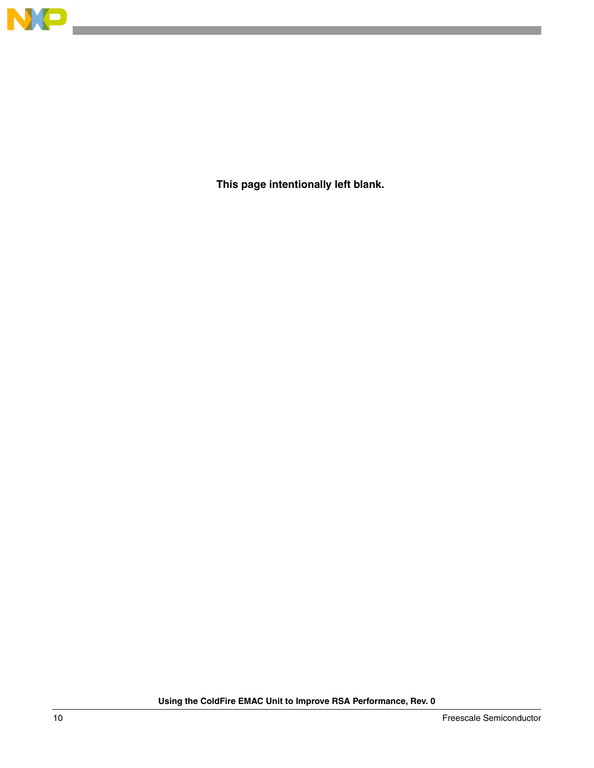

**This page intentionally left blank.**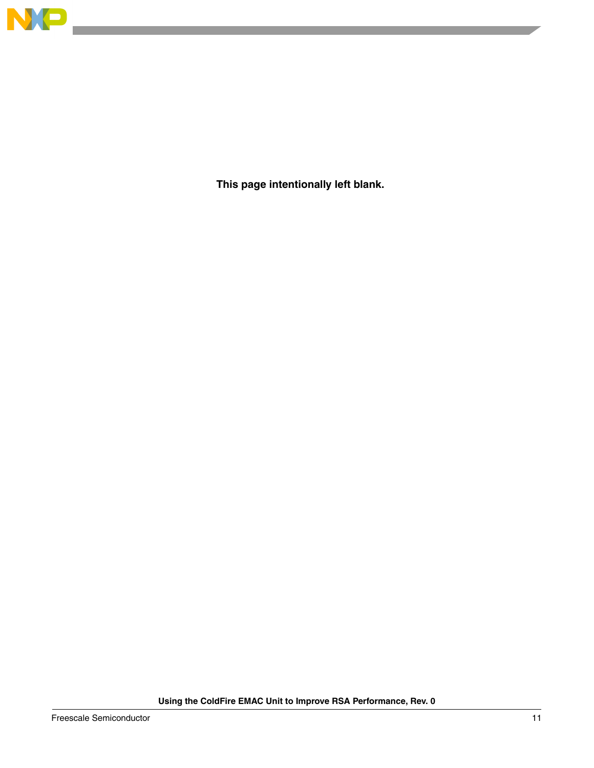

 $\overline{\phantom{a}}$ 

**This page intentionally left blank.**

**Using the ColdFire EMAC Unit to Improve RSA Performance, Rev. 0**